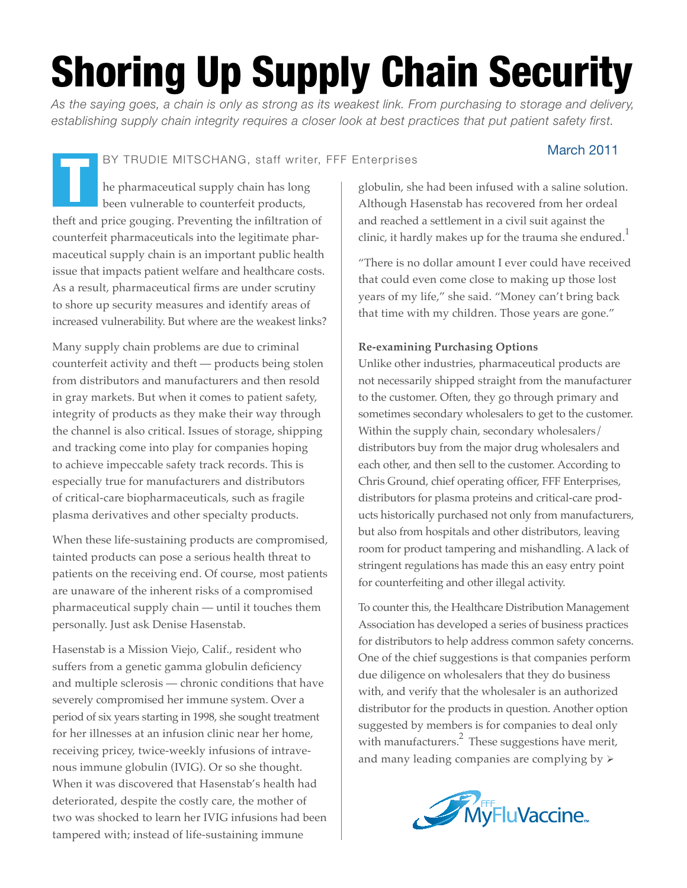# Shoring Up Supply Chain Security

*As the saying goes, a chain is only as strong as its weakest link. From purchasing to storage and delivery, establishing supply chain integrity requires a closer look at best practices that put patient safety first.*

BY TRUDIE MITSCHANG, staff writer, FFF Enterprises

## March 2011

he pharmaceutical supply chain has long been vulnerable to counterfeit products, theft and price gouging. Preventing the infiltration of counterfeit pharmaceuticals into the legitimate pharmaceutical supply chain is an important public health issue that impacts patient welfare and healthcare costs. As a result, pharmaceutical firms are under scrutiny to shore up security measures and identify areas of increased vulnerability. But where are the weakest links? T

Many supply chain problems are due to criminal counterfeit activity and theft — products being stolen from distributors and manufacturers and then resold in gray markets. But when it comes to patient safety, integrity of products as they make their way through the channel is also critical. Issues of storage, shipping and tracking come into play for companies hoping to achieve impeccable safety track records. This is especially true for manufacturers and distributors of critical-care biopharmaceuticals, such as fragile plasma derivatives and other specialty products.

When these life-sustaining products are compromised, tainted products can pose a serious health threat to patients on the receiving end. Of course, most patients are unaware of the inherent risks of a compromised pharmaceutical supply chain — until it touches them personally. Just ask Denise Hasenstab.

Hasenstab is a Mission Viejo, Calif., resident who suffers from a genetic gamma globulin deficiency and multiple sclerosis — chronic conditions that have severely compromised her immune system. Over a period of six years starting in 1998, she sought treatment for her illnesses at an infusion clinic near her home, receiving pricey, twice-weekly infusions of intravenous immune globulin (IVIG). Or so she thought. When it was discovered that Hasenstab's health had deteriorated, despite the costly care, the mother of two was shocked to learn her IVIG infusions had been tampered with; instead of life-sustaining immune

globulin, she had been infused with a saline solution. Although Hasenstab has recovered from her ordeal and reached a settlement in a civil suit against the clinic, it hardly makes up for the trauma she endured.<sup>1</sup>

"There is no dollar amount I ever could have received that could even come close to making up those lost years of my life," she said. "Money can't bring back that time with my children. Those years are gone."

### **Re-examining Purchasing Options**

Unlike other industries, pharmaceutical products are not necessarily shipped straight from the manufacturer to the customer. Often, they go through primary and sometimes secondary wholesalers to get to the customer. Within the supply chain, secondary wholesalers/ distributors buy from the major drug wholesalers and each other, and then sell to the customer. According to Chris Ground, chief operating officer, FFF Enterprises, distributors for plasma proteins and critical-care products historically purchased not only from manufacturers, but also from hospitals and other distributors, leaving room for product tampering and mishandling. A lack of stringent regulations has made this an easy entry point for counterfeiting and other illegal activity.

To counter this, the Healthcare Distribution Management Association has developed a series of business practices for distributors to help address common safety concerns. One of the chief suggestions is that companies perform due diligence on wholesalers that they do business with, and verify that the wholesaler is an authorized distributor for the products in question. Another option suggested by members is for companies to deal only with manufacturers. $\frac{2}{3}$  These suggestions have merit, and many leading companies are complying by  $\triangleright$ 

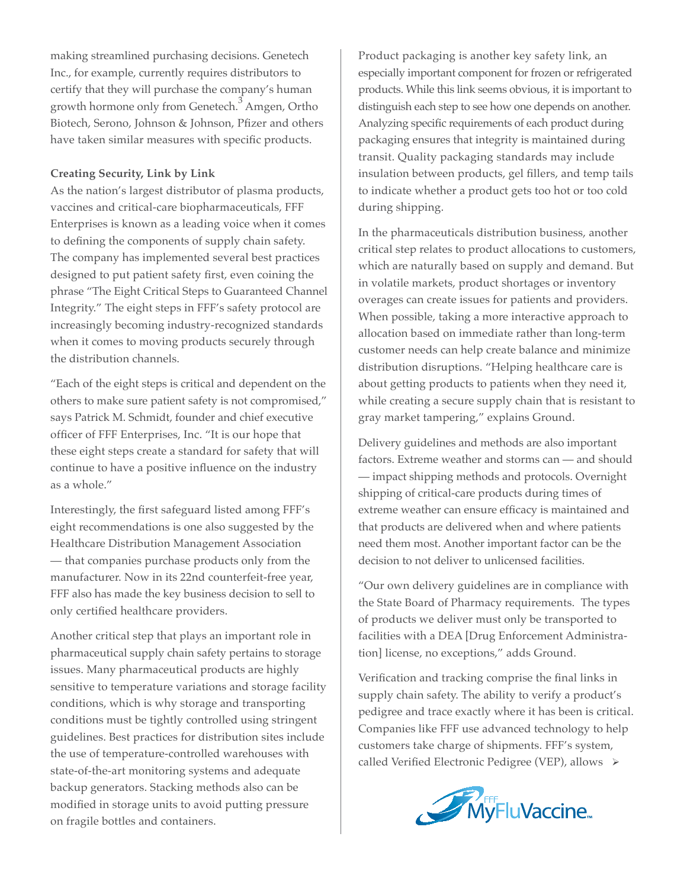making streamlined purchasing decisions. Genetech Inc., for example, currently requires distributors to certify that they will purchase the company's human growth hormone only from Genetech. $^3$  Amgen, Ortho Biotech, Serono, Johnson & Johnson, Pfizer and others have taken similar measures with specific products.

#### **Creating Security, Link by Link**

As the nation's largest distributor of plasma products, vaccines and critical-care biopharmaceuticals, FFF Enterprises is known as a leading voice when it comes to defining the components of supply chain safety. The company has implemented several best practices designed to put patient safety first, even coining the phrase "The Eight Critical Steps to Guaranteed Channel Integrity." The eight steps in FFF's safety protocol are increasingly becoming industry-recognized standards when it comes to moving products securely through the distribution channels.

"Each of the eight steps is critical and dependent on the others to make sure patient safety is not compromised," says Patrick M. Schmidt, founder and chief executive officer of FFF Enterprises, Inc. "It is our hope that these eight steps create a standard for safety that will continue to have a positive influence on the industry as a whole."

Interestingly, the first safeguard listed among FFF's eight recommendations is one also suggested by the Healthcare Distribution Management Association — that companies purchase products only from the manufacturer. Now in its 22nd counterfeit-free year, FFF also has made the key business decision to sell to only certified healthcare providers.

Another critical step that plays an important role in pharmaceutical supply chain safety pertains to storage issues. Many pharmaceutical products are highly sensitive to temperature variations and storage facility conditions, which is why storage and transporting conditions must be tightly controlled using stringent guidelines. Best practices for distribution sites include the use of temperature-controlled warehouses with state-of-the-art monitoring systems and adequate backup generators. Stacking methods also can be modified in storage units to avoid putting pressure on fragile bottles and containers.

Product packaging is another key safety link, an especially important component for frozen or refrigerated products. While this link seems obvious, it is important to distinguish each step to see how one depends on another. Analyzing specific requirements of each product during packaging ensures that integrity is maintained during transit. Quality packaging standards may include insulation between products, gel fillers, and temp tails to indicate whether a product gets too hot or too cold during shipping.

In the pharmaceuticals distribution business, another critical step relates to product allocations to customers, which are naturally based on supply and demand. But in volatile markets, product shortages or inventory overages can create issues for patients and providers. When possible, taking a more interactive approach to allocation based on immediate rather than long-term customer needs can help create balance and minimize distribution disruptions. "Helping healthcare care is about getting products to patients when they need it, while creating a secure supply chain that is resistant to gray market tampering," explains Ground.

Delivery guidelines and methods are also important factors. Extreme weather and storms can — and should — impact shipping methods and protocols. Overnight shipping of critical-care products during times of extreme weather can ensure efficacy is maintained and that products are delivered when and where patients need them most. Another important factor can be the decision to not deliver to unlicensed facilities.

"Our own delivery guidelines are in compliance with the State Board of Pharmacy requirements. The types of products we deliver must only be transported to facilities with a DEA [Drug Enforcement Administration] license, no exceptions," adds Ground.

Verification and tracking comprise the final links in supply chain safety. The ability to verify a product's pedigree and trace exactly where it has been is critical. Companies like FFF use advanced technology to help customers take charge of shipments. FFF's system, called Verified Electronic Pedigree (VEP), allows